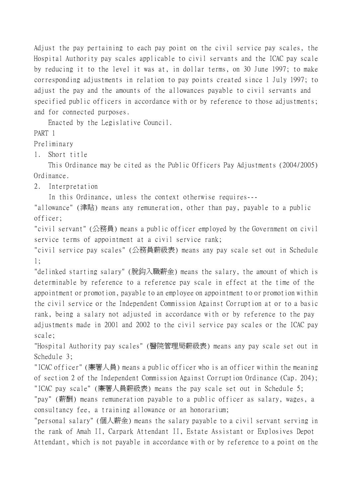Adjust the pay pertaining to each pay point on the civil service pay scales, the Hospital Authority pay scales applicable to civil servants and the ICAC pay scale by reducing it to the level it was at, in dollar terms, on 30 June 1997; to make corresponding adjustments in relation to pay points created since 1 July 1997; to adjust the pay and the amounts of the allowances payable to civil servants and specified public officers in accordance with or by reference to those adjustments; and for connected purposes.

Enacted by the Legislative Council.

PART 1

Preliminary

1. Short title

This Ordinance may be cited as the Public Officers Pay Adjustments (2004/2005) Ordinance.

2. Interpretation

In this Ordinance, unless the context otherwise requires---

"allowance" (津貼) means any remuneration, other than pay, payable to a public officer;

"civil servant" (公務員) means a public officer employed by the Government on civil service terms of appointment at a civil service rank;

"civil service pay scales" (公務員薪級表) means any pay scale set out in Schedule 1;

"delinked starting salary" (脫鈎入職薪金) means the salary, the amount of which is determinable by reference to a reference pay scale in effect at the time of the appointment or promotion, payable to an employee on appointment to or promotion within the civil service or the Independent Commission Against Corruption at or to a basic rank, being a salary not adjusted in accordance with or by reference to the pay adjustments made in 2001 and 2002 to the civil service pay scales or the ICAC pay scale;

"Hospital Authority pay scales" (醫院管理局薪級表) means any pay scale set out in Schedule 3;

"ICAC officer" (廉署㆟員) means a public officer who is an officer within the meaning of section 2 of the Independent Commission Against Corruption Ordinance (Cap. 204); "ICAC pay scale" (廉署㆟員薪級表) means the pay scale set out in Schedule 5;

"pay" (薪酬) means remuneration payable to a public officer as salary, wages, a consultancy fee, a training allowance or an honorarium;

"personal salary" (個㆟薪金) means the salary payable to a civil servant serving in the rank of Amah II, Carpark Attendant II, Estate Assistant or Explosives Depot Attendant, which is not payable in accordance with or by reference to a point on the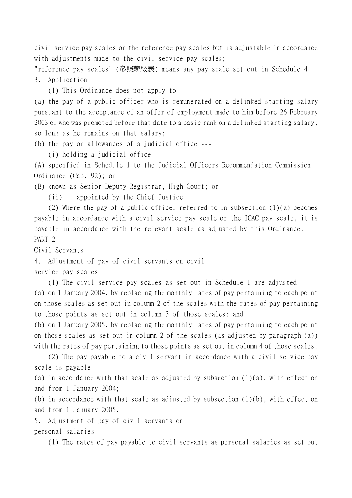civil service pay scales or the reference pay scales but is adjustable in accordance with adjustments made to the civil service pay scales;

"reference pay scales" (參照薪級表) means any pay scale set out in Schedule 4. 3. Application

(1) This Ordinance does not apply to---

(a) the pay of a public officer who is remunerated on a delinked starting salary pursuant to the acceptance of an offer of employment made to him before 26 February 2003 or who was promoted before that date to a basic rank on a delinked starting salary, so long as he remains on that salary;

(b) the pay or allowances of a judicial officer---

(i) holding a judicial office---

(A) specified in Schedule 1 to the Judicial Officers Recommendation Commission Ordinance (Cap. 92); or

(B) known as Senior Deputy Registrar, High Court; or

(ii) appointed by the Chief Justice.

(2) Where the pay of a public officer referred to in subsection (1)(a) becomes payable in accordance with a civil service pay scale or the ICAC pay scale, it is payable in accordance with the relevant scale as adjusted by this Ordinance. PART 2

Civil Servants

4. Adjustment of pay of civil servants on civil

service pay scales

(1) The civil service pay scales as set out in Schedule 1 are adjusted--- (a) on 1 January 2004, by replacing the monthly rates of pay pertaining to each point on those scales as set out in column 2 of the scales with the rates of pay pertaining to those points as set out in column 3 of those scales; and

(b) on 1 January 2005, by replacing the monthly rates of pay pertaining to each point on those scales as set out in column 2 of the scales (as adjusted by paragraph (a)) with the rates of pay pertaining to those points as set out in column 4 of those scales.

(2) The pay payable to a civil servant in accordance with a civil service pay scale is payable---

(a) in accordance with that scale as adjusted by subsection  $(1)(a)$ , with effect on and from 1 January 2004;

(b) in accordance with that scale as adjusted by subsection  $(1)(b)$ , with effect on and from 1 January 2005.

5. Adjustment of pay of civil servants on personal salaries

(1) The rates of pay payable to civil servants as personal salaries as set out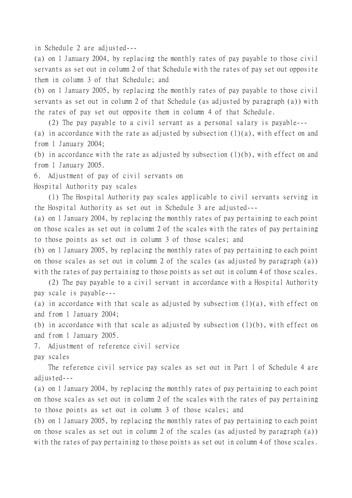in Schedule 2 are adjusted---

(a) on 1 January 2004, by replacing the monthly rates of pay payable to those civil servants as set out in column 2 of that Schedule with the rates of pay set out opposite them in column 3 of that Schedule; and

(b) on 1 January 2005, by replacing the monthly rates of pay payable to those civil servants as set out in column 2 of that Schedule (as adjusted by paragraph (a)) with the rates of pay set out opposite them in column 4 of that Schedule.

(2) The pay payable to a civil servant as a personal salary is payable---

(a) in accordance with the rate as adjusted by subsection  $(1)(a)$ , with effect on and from 1 January 2004;

(b) in accordance with the rate as adjusted by subsection (1)(b), with effect on and from 1 January 2005.

6. Adjustment of pay of civil servants on

Hospital Authority pay scales

(1) The Hospital Authority pay scales applicable to civil servants serving in the Hospital Authority as set out in Schedule 3 are adjusted---

(a) on 1 January 2004, by replacing the monthly rates of pay pertaining to each point on those scales as set out in column 2 of the scales with the rates of pay pertaining to those points as set out in column 3 of those scales; and

(b) on 1 January 2005, by replacing the monthly rates of pay pertaining to each point on those scales as set out in column 2 of the scales (as adjusted by paragraph (a)) with the rates of pay pertaining to those points as set out in column 4 of those scales.

(2) The pay payable to a civil servant in accordance with a Hospital Authority pay scale is payable---

(a) in accordance with that scale as adjusted by subsection  $(1)(a)$ , with effect on and from 1 January 2004;

(b) in accordance with that scale as adjusted by subsection (1)(b), with effect on and from 1 January 2005.

7. Adjustment of reference civil service

pay scales

The reference civil service pay scales as set out in Part 1 of Schedule 4 are adjusted---

(a) on 1 January 2004, by replacing the monthly rates of pay pertaining to each point on those scales as set out in column 2 of the scales with the rates of pay pertaining to those points as set out in column 3 of those scales; and

(b) on 1 January 2005, by replacing the monthly rates of pay pertaining to each point on those scales as set out in column 2 of the scales (as adjusted by paragraph (a)) with the rates of pay pertaining to those points as set out in column 4 of those scales.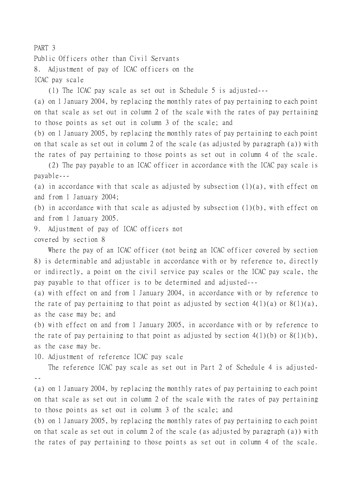## Public Officers other than Civil Servants 8. Adjustment of pay of ICAC officers on the ICAC pay scale

(1) The ICAC pay scale as set out in Schedule 5 is adjusted---

(a) on 1 January 2004, by replacing the monthly rates of pay pertaining to each point on that scale as set out in column 2 of the scale with the rates of pay pertaining to those points as set out in column 3 of the scale; and

(b) on 1 January 2005, by replacing the monthly rates of pay pertaining to each point on that scale as set out in column 2 of the scale (as adjusted by paragraph (a)) with the rates of pay pertaining to those points as set out in column 4 of the scale.

(2) The pay payable to an ICAC officer in accordance with the ICAC pay scale is payable---

(a) in accordance with that scale as adjusted by subsection  $(1)(a)$ , with effect on and from 1 January 2004;

(b) in accordance with that scale as adjusted by subsection (1)(b), with effect on and from 1 January 2005.

9. Adjustment of pay of ICAC officers not

## covered by section 8

Where the pay of an ICAC officer (not being an ICAC officer covered by section 8) is determinable and adjustable in accordance with or by reference to, directly or indirectly, a point on the civil service pay scales or the ICAC pay scale, the pay payable to that officer is to be determined and adjusted---

(a) with effect on and from 1 January 2004, in accordance with or by reference to the rate of pay pertaining to that point as adjusted by section  $4(1)(a)$  or  $8(1)(a)$ , as the case may be; and

(b) with effect on and from 1 January 2005, in accordance with or by reference to the rate of pay pertaining to that point as adjusted by section  $4(1)(b)$  or  $8(1)(b)$ , as the case may be.

10. Adjustment of reference ICAC pay scale

The reference ICAC pay scale as set out in Part 2 of Schedule 4 is adjusted- --

(a) on 1 January 2004, by replacing the monthly rates of pay pertaining to each point on that scale as set out in column 2 of the scale with the rates of pay pertaining to those points as set out in column 3 of the scale; and

(b) on 1 January 2005, by replacing the monthly rates of pay pertaining to each point on that scale as set out in column 2 of the scale (as adjusted by paragraph (a)) with the rates of pay pertaining to those points as set out in column 4 of the scale.

## PART 3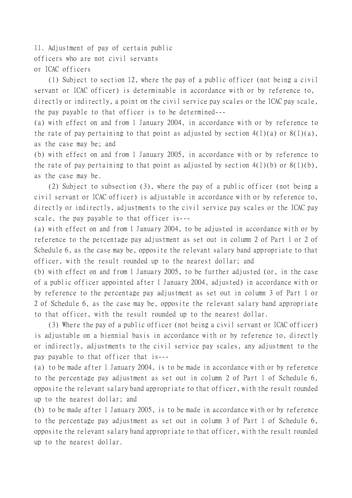11. Adjustment of pay of certain public officers who are not civil servants or ICAC officers

(1) Subject to section 12, where the pay of a public officer (not being a civil servant or ICAC officer) is determinable in accordance with or by reference to, directly or indirectly, a point on the civil service pay scales or the ICAC pay scale, the pay payable to that officer is to be determined---

(a) with effect on and from 1 January 2004, in accordance with or by reference to the rate of pay pertaining to that point as adjusted by section  $4(1)(a)$  or  $8(1)(a)$ , as the case may be; and

(b) with effect on and from 1 January 2005, in accordance with or by reference to the rate of pay pertaining to that point as adjusted by section  $4(1)(b)$  or  $8(1)(b)$ , as the case may be.

(2) Subject to subsection (3), where the pay of a public officer (not being a civil servant or ICAC officer) is adjustable in accordance with or by reference to, directly or indirectly, adjustments to the civil service pay scales or the ICAC pay scale, the pay payable to that officer is---

(a) with effect on and from 1 January 2004, to be adjusted in accordance with or by reference to the percentage pay adjustment as set out in column 2 of Part 1 or 2 of Schedule 6, as the case may be, opposite the relevant salary band appropriate to that officer, with the result rounded up to the nearest dollar; and

(b) with effect on and from 1 January 2005, to be further adjusted (or, in the case of a public officer appointed after 1 January 2004, adjusted) in accordance with or by reference to the percentage pay adjustment as set out in column 3 of Part 1 or 2 of Schedule 6, as the case may be, opposite the relevant salary band appropriate to that officer, with the result rounded up to the nearest dollar.

(3) Where the pay of a public officer (not being a civil servant or ICAC officer) is adjustable on a biennial basis in accordance with or by reference to, directly or indirectly, adjustments to the civil service pay scales, any adjustment to the pay payable to that officer that is---

(a) to be made after 1 January 2004, is to be made in accordance with or by reference to the percentage pay adjustment as set out in column 2 of Part 1 of Schedule 6, opposite the relevant salary band appropriate to that officer, with the result rounded up to the nearest dollar; and

(b) to be made after 1 January 2005, is to be made in accordance with or by reference to the percentage pay adjustment as set out in column 3 of Part 1 of Schedule 6, opposite the relevant salary band appropriate to that officer, with the result rounded up to the nearest dollar.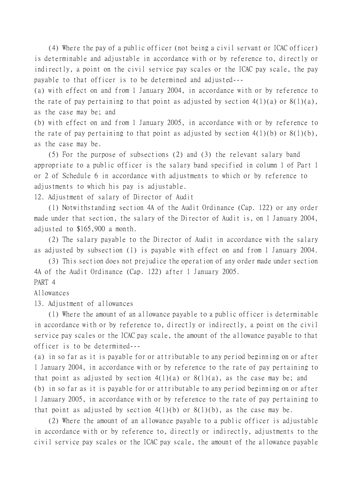(4) Where the pay of a public officer (not being a civil servant or ICAC officer) is determinable and adjustable in accordance with or by reference to, directly or indirectly, a point on the civil service pay scales or the ICAC pay scale, the pay payable to that officer is to be determined and adjusted---

(a) with effect on and from 1 January 2004, in accordance with or by reference to the rate of pay pertaining to that point as adjusted by section  $4(1)(a)$  or  $8(1)(a)$ , as the case may be; and

(b) with effect on and from 1 January 2005, in accordance with or by reference to the rate of pay pertaining to that point as adjusted by section  $4(1)(b)$  or  $8(1)(b)$ , as the case may be.

(5) For the purpose of subsections (2) and (3) the relevant salary band appropriate to a public officer is the salary band specified in column 1 of Part 1 or 2 of Schedule 6 in accordance with adjustments to which or by reference to adjustments to which his pay is adjustable.

12. Adjustment of salary of Director of Audit

(1) Notwithstanding section 4A of the Audit Ordinance (Cap. 122) or any order made under that section, the salary of the Director of Audit is, on 1 January 2004, adjusted to \$165,900 a month.

(2) The salary payable to the Director of Audit in accordance with the salary as adjusted by subsection (1) is payable with effect on and from 1 January 2004.

(3) This section does not prejudice the operation of any order made under section 4A of the Audit Ordinance (Cap. 122) after 1 January 2005. PART 4

Allowances

13. Adjustment of allowances

(1) Where the amount of an allowance payable to a public officer is determinable in accordance with or by reference to, directly or indirectly, a point on the civil service pay scales or the ICAC pay scale, the amount of the allowance payable to that officer is to be determined---

(a) in so far as it is payable for or attributable to any period beginning on or after 1 January 2004, in accordance with or by reference to the rate of pay pertaining to that point as adjusted by section  $4(1)(a)$  or  $8(1)(a)$ , as the case may be; and (b) in so far as it is payable for or attributable to any period beginning on or after 1 January 2005, in accordance with or by reference to the rate of pay pertaining to that point as adjusted by section  $4(1)(b)$  or  $8(1)(b)$ , as the case may be.

(2) Where the amount of an allowance payable to a public officer is adjustable in accordance with or by reference to, directly or indirectly, adjustments to the civil service pay scales or the ICAC pay scale, the amount of the allowance payable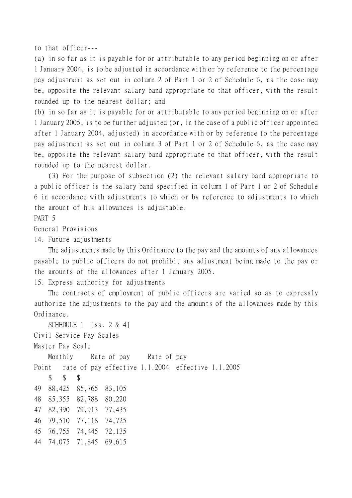to that officer---

(a) in so far as it is payable for or attributable to any period beginning on or after 1 January 2004, is to be adjusted in accordance with or by reference to the percentage pay adjustment as set out in column 2 of Part 1 or 2 of Schedule 6, as the case may be, opposite the relevant salary band appropriate to that officer, with the result rounded up to the nearest dollar; and

(b) in so far as it is payable for or attributable to any period beginning on or after 1 January 2005, is to be further adjusted (or, in the case of a public officer appointed after 1 January 2004, adjusted) in accordance with or by reference to the percentage pay adjustment as set out in column 3 of Part 1 or 2 of Schedule 6, as the case may be, opposite the relevant salary band appropriate to that officer, with the result rounded up to the nearest dollar.

(3) For the purpose of subsection (2) the relevant salary band appropriate to a public officer is the salary band specified in column 1 of Part 1 or 2 of Schedule 6 in accordance with adjustments to which or by reference to adjustments to which the amount of his allowances is adjustable.

PART 5

General Provisions

14. Future adjustments

The adjustments made by this Ordinance to the pay and the amounts of any allowances payable to public officers do not prohibit any adjustment being made to the pay or the amounts of the allowances after 1 January 2005.

15. Express authority for adjustments

The contracts of employment of public officers are varied so as to expressly authorize the adjustments to the pay and the amounts of the allowances made by this Ordinance.

SCHEDULE 1 [ss. 2 & 4] Civil Service Pay Scales Master Pay Scale Monthly Rate of pay Rate of pay Point rate of pay effective 1.1.2004 effective 1.1.2005 \$ \$ \$ 49 88,425 85,765 83,105 48 85,355 82,788 80,220 47 82,390 79,913 77,435 46 79,510 77,118 74,725 45 76,755 74,445 72,135 44 74,075 71,845 69,615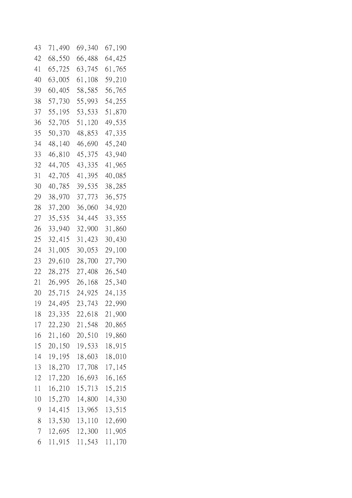| 43             | 71,490 | 69,340 | 67,190 |
|----------------|--------|--------|--------|
| 42             | 68,550 | 66,488 | 64,425 |
| 41             | 65,725 | 63,745 | 61,765 |
| 40             | 63,005 | 61,108 | 59,210 |
| 39             | 60,405 | 58,585 | 56,765 |
| 38             | 57,730 | 55,993 | 54,255 |
| 37             | 55,195 | 53,533 | 51,870 |
| 36             | 52,705 | 51,120 | 49,535 |
| 35             | 50,370 | 48,853 | 47,335 |
| 34             | 48,140 | 46,690 | 45,240 |
| 33             | 46,810 | 45,375 | 43,940 |
| 32             | 44,705 | 43,335 | 41,965 |
| 31             | 42,705 | 41,395 | 40,085 |
| 30             | 40,785 | 39,535 | 38,285 |
| 29             | 38,970 | 37,773 | 36,575 |
| 28             | 37,200 | 36,060 | 34,920 |
| 27             | 35,535 | 34,445 | 33,355 |
| 26             | 33,940 | 32,900 | 31,860 |
| 25             | 32,415 | 31,423 | 30,430 |
| 24             | 31,005 | 30,053 | 29,100 |
| 23             | 29,610 | 28,700 | 27,790 |
| 22             | 28,275 | 27,408 | 26,540 |
| 21             | 26,995 | 26,168 | 25,340 |
| 20             | 25,715 | 24,925 | 24,135 |
| 19             | 24,495 | 23,743 | 22,990 |
| 18             | 23,335 | 22,618 | 21,900 |
| 17             | 22,230 | 21,548 | 20,865 |
| 16             | 21,160 | 20,510 | 19,860 |
| 15             | 20,150 | 19,533 | 18,915 |
| 14             | 19,195 | 18,603 | 18,010 |
| 13             | 18,270 | 17,708 | 17,145 |
| 12             | 17,220 | 16,693 | 16,165 |
| 11             | 16,210 | 15,713 | 15,215 |
| 10             | 15,270 | 14,800 | 14,330 |
| 9              | 14,415 | 13,965 | 13,515 |
| 8              | 13,530 | 13,110 | 12,690 |
| $\overline{7}$ | 12,695 | 12,300 | 11,905 |
| 6              | 11,915 | 11,543 | 11,170 |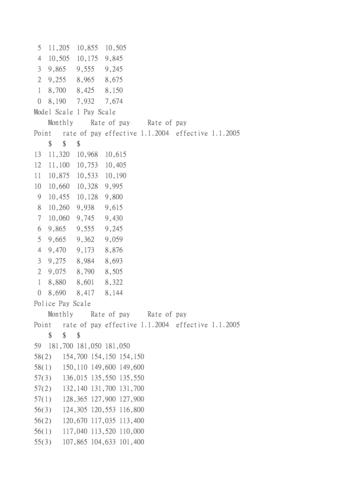5 11,205 10,855 10,505 4 10,505 10,175 9,845 3 9,865 9,555 9,245 2 9,255 8,965 8,675 1 8,700 8,425 8,150 0 8,190 7,932 7,674 Model Scale 1 Pay Scale Monthly Rate of pay Rate of pay Point rate of pay effective 1.1.2004 effective 1.1.2005 \$ \$ \$ 13 11,320 10,968 10,615 12 11,100 10,753 10,405 11 10,875 10,533 10,190 10 10,660 10,328 9,995 9 10,455 10,128 9,800 8 10,260 9,938 9,615 7 10,060 9,745 9,430 6 9,865 9,555 9,245 5 9,665 9,362 9,059 4 9,470 9,173 8,876 3 9,275 8,984 8,693 2 9,075 8,790 8,505 1 8,880 8,601 8,322 0 8,690 8,417 8,144 Police Pay Scale Monthly Rate of pay Rate of pay Point rate of pay effective 1.1.2004 effective 1.1.2005  $$$  \$ \$ 59 181,700 181,050 181,050 58(2) 154,700 154,150 154,150 58(1) 150,110 149,600 149,600 57(3) 136,015 135,550 135,550 57(2) 132,140 131,700 131,700 57(1) 128,365 127,900 127,900 56(3) 124,305 120,553 116,800 56(2) 120,670 117,035 113,400 56(1) 117,040 113,520 110,000 55(3) 107,865 104,633 101,400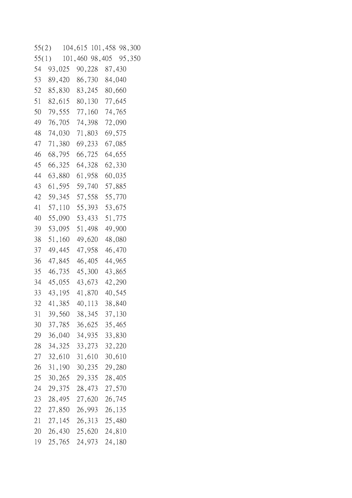55(2) 104,615 101,458 98,300 55(1) 101,460 98,405 95,350 54 93,025 90,228 87,430 53 89,420 86,730 84,040 52 85,830 83,245 80,660 51 82,615 80,130 77,645 50 79,555 77,160 74,765 49 76,705 74,398 72,090 48 74,030 71,803 69,575 47 71,380 69,233 67,085 46 68,795 66,725 64,655 45 66,325 64,328 62,330 44 63,880 61,958 60,035 43 61,595 59,740 57,885 42 59,345 57,558 55,770 41 57,110 55,393 53,675 40 55,090 53,433 51,775 39 53,095 51,498 49,900 38 51,160 49,620 48,080 37 49,445 47,958 46,470 36 47,845 46,405 44,965 35 46,735 45,300 43,865 34 45,055 43,673 42,290 33 43,195 41,870 40,545 32 41,385 40,113 38,840 31 39,560 38,345 37,130 30 37,785 36,625 35,465 29 36,040 34,935 33,830 28 34,325 33,273 32,220 27 32,610 31,610 30,610 26 31,190 30,235 29,280 25 30,265 29,335 28,405 24 29,375 28,473 27,570 23 28,495 27,620 26,745 22 27,850 26,993 26,135 21 27,145 26,313 25,480 20 26,430 25,620 24,810 19 25,765 24,973 24,180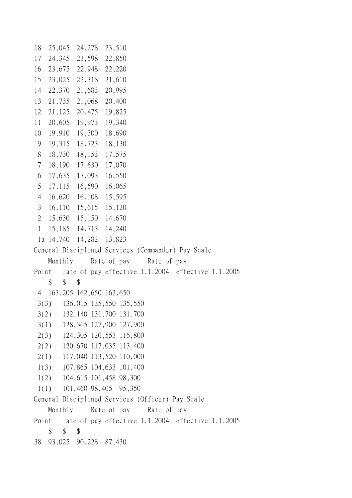```
18 25,045 24,278 23,510
17 24,345 23,598 22,850
16 23,675 22,948 22,220
15 23,025 22,318 21,610
14 22,370 21,683 20,995
13 21,735 21,068 20,400
12 21,125 20,475 19,825
11 20,605 19,973 19,340
10 19,910 19,300 18,690
 9 19,315 18,723 18,130
 8 18,730 18,153 17,575
  7 18,190 17,630 17,070
  6 17,635 17,093 16,550
  5 17,115 16,590 16,065
  4 16,620 16,108 15,595
  3 16,110 15,615 15,120
  2 15,630 15,150 14,670
  1 15,185 14,713 14,240
  1a 14,740 14,282 13,823
General Disciplined Services (Commander) Pay Scale
   Monthly Rate of pay Rate of pay
Point rate of pay effective 1.1.2004 effective 1.1.2005
   $55 4 163,205 162,650 162,650
  3(3) 136,015 135,550 135,550
  3(2) 132,140 131,700 131,700
  3(1) 128,365 127,900 127,900
  2(3) 124,305 120,553 116,800
  2(2) 120,670 117,035 113,400
  2(1) 117,040 113,520 110,000
  1(3) 107,865 104,633 101,400
  1(2) 104,615 101,458 98,300
  1(1) 101,460 98,405 95,350
General Disciplined Services (Officer) Pay Scale
   Monthly Rate of pay Rate of pay
Point rate of pay effective 1.1.2004 effective 1.1.2005
   $ $ $
38 93,025 90,228 87,430
```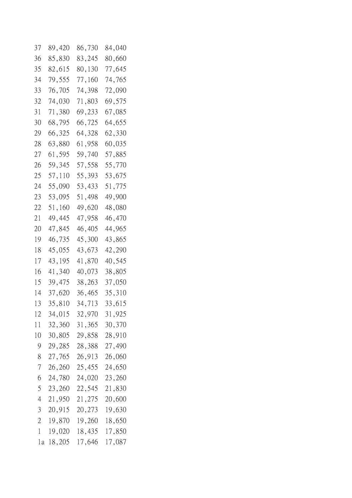| 37 | 89,420 | 86,730 | 84,040 |
|----|--------|--------|--------|
| 36 | 85,830 | 83,245 | 80,660 |
| 35 | 82,615 | 80,130 | 77,645 |
| 34 | 79,555 | 77,160 | 74,765 |
| 33 | 76,705 | 74,398 | 72,090 |
| 32 | 74,030 | 71,803 | 69,575 |
| 31 | 71,380 | 69,233 | 67,085 |
| 30 | 68,795 | 66,725 | 64,655 |
| 29 | 66,325 | 64,328 | 62,330 |
| 28 | 63,880 | 61,958 | 60,035 |
| 27 | 61,595 | 59,740 | 57,885 |
| 26 | 59,345 | 57,558 | 55,770 |
| 25 | 57,110 | 55,393 | 53,675 |
| 24 | 55,090 | 53,433 | 51,775 |
| 23 | 53,095 | 51,498 | 49,900 |
| 22 | 51,160 | 49,620 | 48,080 |
| 21 | 49,445 | 47,958 | 46,470 |
| 20 | 47,845 | 46,405 | 44,965 |
| 19 | 46,735 | 45,300 | 43,865 |
| 18 | 45,055 | 43,673 | 42,290 |
| 17 | 43,195 | 41,870 | 40,545 |
| 16 | 41,340 | 40,073 | 38,805 |
| 15 | 39,475 | 38,263 | 37,050 |
| 14 | 37,620 | 36,465 | 35,310 |
| 13 | 35,810 | 34,713 | 33,615 |
| 12 | 34,015 | 32,970 | 31,925 |
| 11 | 32,360 | 31,365 | 30,370 |
| 10 | 30,805 | 29,858 | 28,910 |
| 9  | 29,285 | 28,388 | 27,490 |
| 8  | 27,765 | 26,913 | 26,060 |
| 7  | 26,260 | 25,455 | 24,650 |
| 6  | 24,780 | 24,020 | 23,260 |
| 5  | 23,260 | 22,545 | 21,830 |
| 4  | 21,950 | 21,275 | 20,600 |
| 3  | 20,915 | 20,273 | 19,630 |
| 2  | 19,870 | 19,260 | 18,650 |
| 1  | 19,020 | 18,435 | 17,850 |
| 1a | 18,205 | 17,646 | 17,087 |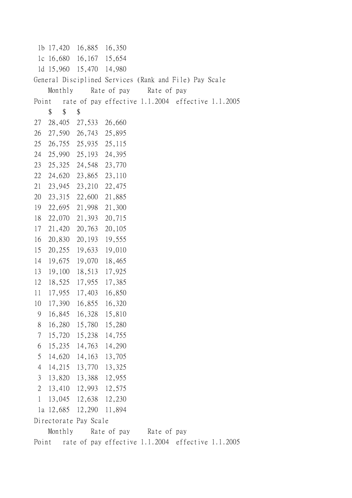1b 17,420 16,885 16,350 1c 16,680 16,167 15,654 1d 15,960 15,470 14,980 General Disciplined Services (Rank and File) Pay Scale Monthly Rate of pay Rate of pay Point rate of pay effective 1.1.2004 effective 1.1.2005 \$ \$ \$ 27 28,405 27,533 26,660 26 27,590 26,743 25,895 25 26,755 25,935 25,115 24 25,990 25,193 24,395 23 25,325 24,548 23,770 22 24,620 23,865 23,110 21 23,945 23,210 22,475 20 23,315 22,600 21,885 19 22,695 21,998 21,300 18 22,070 21,393 20,715 17 21,420 20,763 20,105 16 20,830 20,193 19,555 15 20,255 19,633 19,010 14 19,675 19,070 18,465 13 19,100 18,513 17,925 12 18,525 17,955 17,385 11 17,955 17,403 16,850 10 17,390 16,855 16,320 9 16,845 16,328 15,810 8 16,280 15,780 15,280 7 15,720 15,238 14,755 6 15,235 14,763 14,290 5 14,620 14,163 13,705 4 14,215 13,770 13,325 3 13,820 13,388 12,955 2 13,410 12,993 12,575 1 13,045 12,638 12,230 1a 12,685 12,290 11,894 Directorate Pay Scale Monthly Rate of pay Rate of pay Point rate of pay effective 1.1.2004 effective 1.1.2005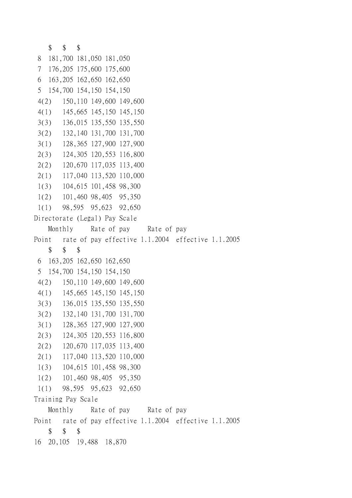```
$ $ $
 8 181,700 181,050 181,050
  7 176,205 175,600 175,600
 6 163,205 162,650 162,650
  5 154,700 154,150 154,150
  4(2) 150,110 149,600 149,600
  4(1) 145,665 145,150 145,150
  3(3) 136,015 135,550 135,550
  3(2) 132,140 131,700 131,700
  3(1) 128,365 127,900 127,900
  2(3) 124,305 120,553 116,800
  2(2) 120,670 117,035 113,400
  2(1) 117,040 113,520 110,000
  1(3) 104,615 101,458 98,300
  1(2) 101,460 98,405 95,350
  1(1) 98,595 95,623 92,650
Directorate (Legal) Pay Scale
   Monthly Rate of pay Rate of pay
Point rate of pay effective 1.1.2004 effective 1.1.2005
   $ $ $
  6 163,205 162,650 162,650
  5 154,700 154,150 154,150
  4(2) 150,110 149,600 149,600
  4(1) 145,665 145,150 145,150
  3(3) 136,015 135,550 135,550
  3(2) 132,140 131,700 131,700
  3(1) 128,365 127,900 127,900
  2(3) 124,305 120,553 116,800
  2(2) 120,670 117,035 113,400
  2(1) 117,040 113,520 110,000
  1(3) 104,615 101,458 98,300
  1(2) 101,460 98,405 95,350
  1(1) 98,595 95,623 92,650
Training Pay Scale
   Monthly Rate of pay Rate of pay
Point rate of pay effective 1.1.2004 effective 1.1.2005
   $ $ $
16 20,105 19,488 18,870
```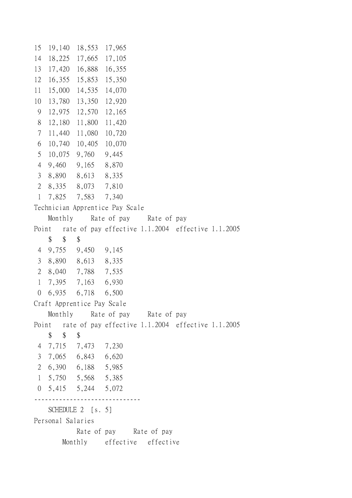15 19,140 18,553 17,965 14 18,225 17,665 17,105 13 17,420 16,888 16,355 12 16,355 15,853 15,350 11 15,000 14,535 14,070 10 13,780 13,350 12,920 9 12,975 12,570 12,165 8 12,180 11,800 11,420 7 11,440 11,080 10,720 6 10,740 10,405 10,070 5 10,075 9,760 9,445 4 9,460 9,165 8,870 3 8,890 8,613 8,335 2 8,335 8,073 7,810 1 7,825 7,583 7,340 Technician Apprentice Pay Scale Monthly Rate of pay Rate of pay Point rate of pay effective 1.1.2004 effective 1.1.2005 \$\$\$ 4 9,755 9,450 9,145 3 8,890 8,613 8,335 2 8,040 7,788 7,535 1 7,395 7,163 6,930 0 6,935 6,718 6,500 Craft Apprentice Pay Scale Monthly Rate of pay Rate of pay Point rate of pay effective 1.1.2004 effective 1.1.2005 \$ \$ \$ 4 7,715 7,473 7,230 3 7,065 6,843 6,620 2 6,390 6,188 5,985 1 5,750 5,568 5,385 0 5,415 5,244 5,072 ------------------------------ SCHEDULE 2 [s. 5] Personal Salaries Rate of pay Rate of pay Monthly effective effective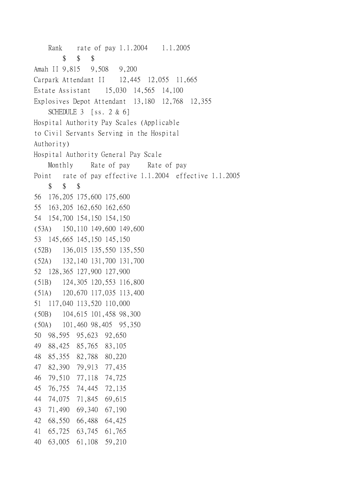Rank rate of pay 1.1.2004 1.1.2005 \$ \$ \$ Amah II 9,815 9,508 9,200 Carpark Attendant II 12,445 12,055 11,665 Estate Assistant 15,030 14,565 14,100 Explosives Depot Attendant 13,180 12,768 12,355 SCHEDULE 3 [ss. 2 & 6] Hospital Authority Pay Scales (Applicable to Civil Servants Serving in the Hospital Authority) Hospital Authority General Pay Scale Monthly Rate of pay Rate of pay Point rate of pay effective 1.1.2004 effective 1.1.2005 \$ \$ \$ 56 176,205 175,600 175,600 55 163,205 162,650 162,650 54 154,700 154,150 154,150 (53A) 150,110 149,600 149,600 53 145,665 145,150 145,150 (52B) 136,015 135,550 135,550 (52A) 132,140 131,700 131,700 52 128,365 127,900 127,900 (51B) 124,305 120,553 116,800 (51A) 120,670 117,035 113,400 51 117,040 113,520 110,000 (50B) 104,615 101,458 98,300 (50A) 101,460 98,405 95,350 50 98,595 95,623 92,650 49 88,425 85,765 83,105 48 85,355 82,788 80,220 47 82,390 79,913 77,435 46 79,510 77,118 74,725 45 76,755 74,445 72,135 44 74,075 71,845 69,615 43 71,490 69,340 67,190 42 68,550 66,488 64,425 41 65,725 63,745 61,765 40 63,005 61,108 59,210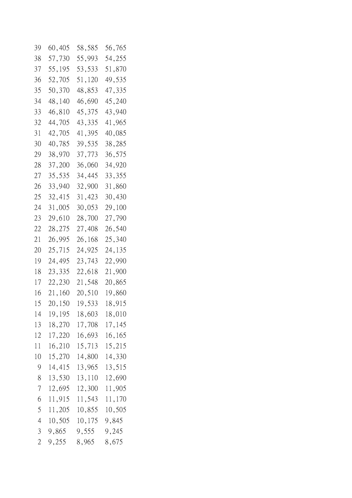| 39                       | 60,405 | 58,585 | 56,765 |
|--------------------------|--------|--------|--------|
| 38                       | 57,730 | 55,993 | 54,255 |
| 37                       | 55,195 | 53,533 | 51,870 |
| 36                       | 52,705 | 51,120 | 49,535 |
| 35                       | 50,370 | 48,853 | 47,335 |
| 34                       | 48,140 | 46,690 | 45,240 |
| 33                       | 46,810 | 45,375 | 43,940 |
| 32                       | 44,705 | 43,335 | 41,965 |
| 31                       | 42,705 | 41,395 | 40,085 |
| 30                       | 40,785 | 39,535 | 38,285 |
| 29                       | 38,970 | 37,773 | 36,575 |
| 28                       | 37,200 | 36,060 | 34,920 |
| 27                       | 35,535 | 34,445 | 33,355 |
| 26                       | 33,940 | 32,900 | 31,860 |
| 25                       | 32,415 | 31,423 | 30,430 |
| 24                       | 31,005 | 30,053 | 29,100 |
| 23                       | 29,610 | 28,700 | 27,790 |
| 22                       | 28,275 | 27,408 | 26,540 |
| 21                       | 26,995 | 26,168 | 25,340 |
| 20                       | 25,715 | 24,925 | 24,135 |
| 19                       | 24,495 | 23,743 | 22,990 |
| 18                       | 23,335 | 22,618 | 21,900 |
| 17                       | 22,230 | 21,548 | 20,865 |
| 16                       | 21,160 | 20,510 | 19,860 |
| 15                       | 20,150 | 19,533 | 18,915 |
| 14                       | 19,195 | 18,603 | 18,010 |
| 13                       | 18,270 | 17,708 | 17,145 |
| 12                       | 17,220 | 16,693 | 16,165 |
| 11                       | 16,210 | 15,713 | 15,215 |
| 10                       | 15,270 | 14,800 | 14,330 |
| $\theta$                 | 14,415 | 13,965 | 13,515 |
| 8                        | 13,530 | 13,110 | 12,690 |
| $\overline{\mathcal{L}}$ | 12,695 | 12,300 | 11,905 |
| 6                        | 11,915 | 11,543 | 11,170 |
| 5                        | 11,205 | 10,855 | 10,505 |
| $\overline{4}$           | 10,505 | 10,175 | 9,845  |
| 3                        | 9,865  | 9,555  | 9,245  |
| $\overline{2}$           | 9,255  | 8,965  | 8,675  |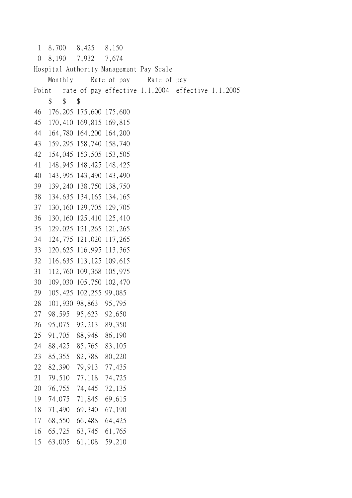1 8,700 8,425 8,150 0 8,190 7,932 7,674 Hospital Authority Management Pay Scale Monthly Rate of pay Rate of pay Point rate of pay effective 1.1.2004 effective 1.1.2005 \$ \$ \$ 46 176,205 175,600 175,600 45 170,410 169,815 169,815 44 164,780 164,200 164,200 43 159,295 158,740 158,740 42 154,045 153,505 153,505 41 148,945 148,425 148,425 40 143,995 143,490 143,490 39 139,240 138,750 138,750 38 134,635 134,165 134,165 37 130,160 129,705 129,705 36 130,160 125,410 125,410 35 129,025 121,265 121,265 34 124,775 121,020 117,265 33 120,625 116,995 113,365 32 116,635 113,125 109,615 31 112,760 109,368 105,975 30 109,030 105,750 102,470 29 105,425 102,255 99,085 28 101,930 98,863 95,795 27 98,595 95,623 92,650 26 95,075 92,213 89,350 25 91,705 88,948 86,190 24 88,425 85,765 83,105 23 85,355 82,788 80,220 22 82,390 79,913 77,435 21 79,510 77,118 74,725 20 76,755 74,445 72,135 19 74,075 71,845 69,615 18 71,490 69,340 67,190 17 68,550 66,488 64,425 16 65,725 63,745 61,765 15 63,005 61,108 59,210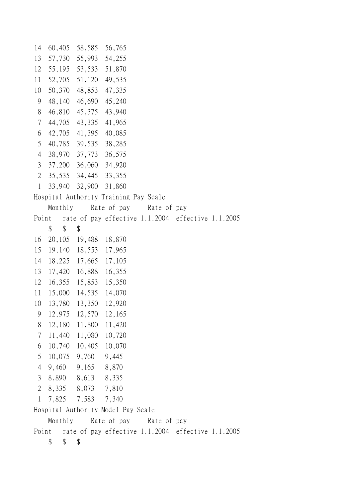14 60,405 58,585 56,765 13 57,730 55,993 54,255 12 55,195 53,533 51,870 11 52,705 51,120 49,535 10 50,370 48,853 47,335 9 48,140 46,690 45,240 8 46,810 45,375 43,940 7 44,705 43,335 41,965 6 42,705 41,395 40,085 5 40,785 39,535 38,285 4 38,970 37,773 36,575 3 37,200 36,060 34,920 2 35,535 34,445 33,355 1 33,940 32,900 31,860 Hospital Authority Training Pay Scale Monthly Rate of pay Rate of pay Point rate of pay effective 1.1.2004 effective 1.1.2005  $\begin{array}{cccc} \text{\$} & \text{\$} & \text{\$} & \text{\$} \\ \text{\$} & \text{\$} & \text{\$} & \text{\$} \end{array}$ 16 20,105 19,488 18,870 15 19,140 18,553 17,965 14 18,225 17,665 17,105 13 17,420 16,888 16,355 12 16,355 15,853 15,350 11 15,000 14,535 14,070 10 13,780 13,350 12,920 9 12,975 12,570 12,165 8 12,180 11,800 11,420 7 11,440 11,080 10,720 6 10,740 10,405 10,070 5 10,075 9,760 9,445 4 9,460 9,165 8,870 3 8,890 8,613 8,335 2 8,335 8,073 7,810 1 7,825 7,583 7,340 Hospital Authority Model Pay Scale Monthly Rate of pay Rate of pay Point rate of pay effective 1.1.2004 effective 1.1.2005 \$ \$ \$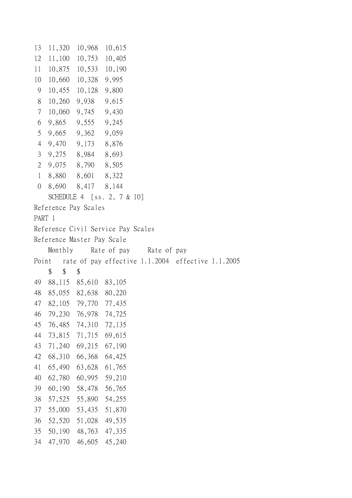```
13 11,320 10,968 10,615
12 11,100 10,753 10,405
11 10,875 10,533 10,190
10 10,660 10,328 9,995
 9 10,455 10,128 9,800
 8 10,260 9,938 9,615
  7 10,060 9,745 9,430
  6 9,865 9,555 9,245
  5 9,665 9,362 9,059
  4 9,470 9,173 8,876
  3 9,275 8,984 8,693
  2 9,075 8,790 8,505
  1 8,880 8,601 8,322
  0 8,690 8,417 8,144
   SCHEDULE 4 [ss. 2, 7 & 10]
Reference Pay Scales
PART 1
Reference Civil Service Pay Scales
Reference Master Pay Scale
   Monthly Rate of pay Rate of pay
Point rate of pay effective 1.1.2004 effective 1.1.2005
   $ $ $
49 88,115 85,610 83,105
48 85,055 82,638 80,220
47 82,105 79,770 77,435
46 79,230 76,978 74,725
45 76,485 74,310 72,135
44 73,815 71,715 69,615
43 71,240 69,215 67,190
42 68,310 66,368 64,425
41 65,490 63,628 61,765
40 62,780 60,995 59,210
39 60,190 58,478 56,765
38 57,525 55,890 54,255
37 55,000 53,435 51,870
36 52,520 51,028 49,535
35 50,190 48,763 47,335
34 47,970 46,605 45,240
```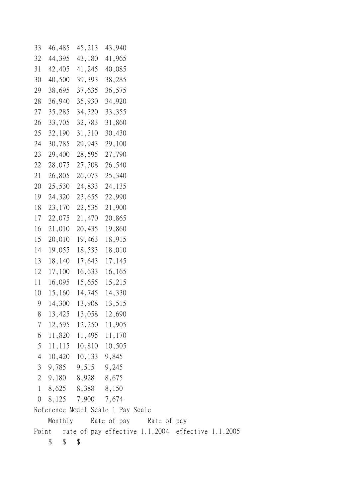| 33             | 46,485                            | 45,213   |       | 43,940      |             |                                                   |  |  |  |
|----------------|-----------------------------------|----------|-------|-------------|-------------|---------------------------------------------------|--|--|--|
| 32             | 44,395                            | 43,180   |       | 41,965      |             |                                                   |  |  |  |
| 31             | 42,405                            | 41,245   |       | 40,085      |             |                                                   |  |  |  |
| 30             | 40,500                            | 39,393   |       | 38,285      |             |                                                   |  |  |  |
| 29             | 38,695                            | 37,635   |       | 36,575      |             |                                                   |  |  |  |
| 28             | 36,940                            | 35,930   |       | 34,920      |             |                                                   |  |  |  |
| 27             | 35,285                            | 34,320   |       | 33,355      |             |                                                   |  |  |  |
| 26             | 33,705                            | 32,783   |       | 31,860      |             |                                                   |  |  |  |
| 25             | 32,190                            | 31,310   |       | 30,430      |             |                                                   |  |  |  |
| 24             | 30,785                            | 29,943   |       | 29,100      |             |                                                   |  |  |  |
| 23             | 29,400                            | 28,595   |       | 27,790      |             |                                                   |  |  |  |
| 22             | 28,075                            | 27,308   |       | 26,540      |             |                                                   |  |  |  |
| 21             | 26,805                            | 26,073   |       | 25,340      |             |                                                   |  |  |  |
| 20             | 25,530                            | 24,833   |       | 24,135      |             |                                                   |  |  |  |
| 19             | 24,320                            | 23,655   |       | 22,990      |             |                                                   |  |  |  |
| 18             | 23,170                            | 22,535   |       | 21,900      |             |                                                   |  |  |  |
| 17             | 22,075                            | 21,470   |       | 20,865      |             |                                                   |  |  |  |
| 16             | 21,010                            | 20,435   |       | 19,860      |             |                                                   |  |  |  |
| 15             | 20,010                            | 19,463   |       | 18,915      |             |                                                   |  |  |  |
| 14             | 19,055                            | 18,533   |       | 18,010      |             |                                                   |  |  |  |
| 13             | 18,140                            | 17,643   |       | 17,145      |             |                                                   |  |  |  |
| 12             | 17,100                            | 16,633   |       | 16,165      |             |                                                   |  |  |  |
| 11             | 16,095                            | 15,655   |       | 15,215      |             |                                                   |  |  |  |
| 10             | 15,160                            | 14,745   |       | 14,330      |             |                                                   |  |  |  |
| 9              | 14,300                            | 13,908   |       | 13,515      |             |                                                   |  |  |  |
| 8              | 13,425                            | 13,058   |       | 12,690      |             |                                                   |  |  |  |
| 7              | 12,595                            | 12,250   |       | 11,905      |             |                                                   |  |  |  |
| 6              | 11,820                            | 11,495   |       | 11,170      |             |                                                   |  |  |  |
| 5              | 11,115                            | 10,810   |       | 10,505      |             |                                                   |  |  |  |
| $\overline{4}$ | 10,420                            | 10,133   |       | 9,845       |             |                                                   |  |  |  |
| 3              | 9,785                             |          | 9,515 | 9,245       |             |                                                   |  |  |  |
| 2              | 9,180                             |          |       | 8,928 8,675 |             |                                                   |  |  |  |
| $\mathbf{1}$   | 8,625                             |          | 8,388 | 8,150       |             |                                                   |  |  |  |
| $\overline{0}$ | 8,125                             |          | 7,900 | 7,674       |             |                                                   |  |  |  |
|                | Reference Model Scale 1 Pay Scale |          |       |             |             |                                                   |  |  |  |
|                | Monthly                           |          |       |             | Rate of pay | Rate of pay                                       |  |  |  |
| Point          |                                   |          |       |             |             | rate of pay effective 1.1.2004 effective 1.1.2005 |  |  |  |
|                | \$                                | \$<br>\$ |       |             |             |                                                   |  |  |  |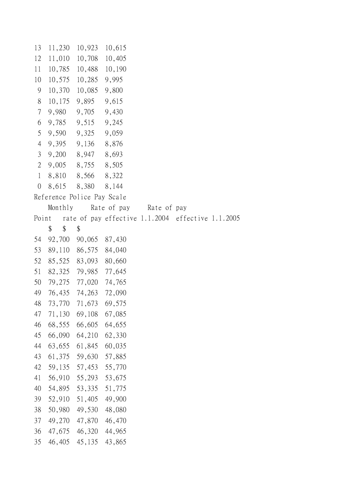13 11,230 10,923 10,615 12 11,010 10,708 10,405 11 10,785 10,488 10,190 10 10,575 10,285 9,995 9 10,370 10,085 9,800 8 10,175 9,895 9,615 7 9,980 9,705 9,430 6 9,785 9,515 9,245 5 9,590 9,325 9,059 4 9,395 9,136 8,876 3 9,200 8,947 8,693 2 9,005 8,755 8,505 1 8,810 8,566 8,322 0 8,615 8,380 8,144 Reference Police Pay Scale Monthly Rate of pay Rate of pay Point rate of pay effective 1.1.2004 effective 1.1.2005 \$\$\$ 54 92,700 90,065 87,430 53 89,110 86,575 84,040 52 85,525 83,093 80,660 51 82,325 79,985 77,645 50 79,275 77,020 74,765 49 76,435 74,263 72,090 48 73,770 71,673 69,575 47 71,130 69,108 67,085 46 68,555 66,605 64,655 45 66,090 64,210 62,330 44 63,655 61,845 60,035 43 61,375 59,630 57,885 42 59,135 57,453 55,770 41 56,910 55,293 53,675 40 54,895 53,335 51,775 39 52,910 51,405 49,900 38 50,980 49,530 48,080 37 49,270 47,870 46,470 36 47,675 46,320 44,965 35 46,405 45,135 43,865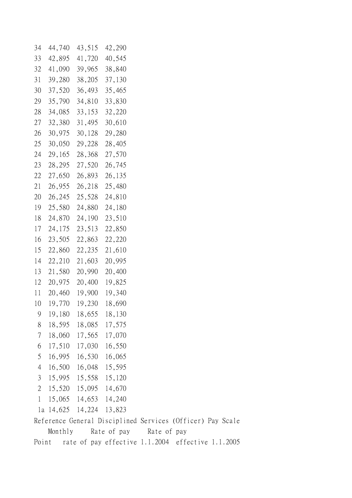| 34             | 44,740    | 43,515 | 42,290          |             |                                                            |  |
|----------------|-----------|--------|-----------------|-------------|------------------------------------------------------------|--|
| 33             | 42,895    | 41,720 | 40,545          |             |                                                            |  |
| 32             | 41,090    | 39,965 | 38,840          |             |                                                            |  |
| 31             | 39,280    | 38,205 | 37,130          |             |                                                            |  |
| 30             | 37,520    | 36,493 | 35,465          |             |                                                            |  |
| 29             | 35,790    | 34,810 | 33,830          |             |                                                            |  |
| 28             | 34,085    | 33,153 | 32,220          |             |                                                            |  |
| 27             | 32,380    | 31,495 | 30,610          |             |                                                            |  |
| 26             | 30,975    | 30,128 | 29,280          |             |                                                            |  |
| 25             | 30,050    | 29,228 | 28,405          |             |                                                            |  |
| 24             | 29,165    | 28,368 | 27,570          |             |                                                            |  |
| 23             | 28,295    | 27,520 | 26,745          |             |                                                            |  |
| 22             | 27,650    | 26,893 | 26,135          |             |                                                            |  |
| 21             | 26,955    | 26,218 | 25,480          |             |                                                            |  |
| 20             | 26,245    | 25,528 | 24,810          |             |                                                            |  |
| 19             | 25,580    | 24,880 | 24,180          |             |                                                            |  |
| 18             | 24,870    | 24,190 | 23,510          |             |                                                            |  |
| 17             | 24,175    | 23,513 | 22,850          |             |                                                            |  |
| 16             | 23,505    | 22,863 | 22,220          |             |                                                            |  |
| 15             | 22,860    | 22,235 | 21,610          |             |                                                            |  |
| 14             | 22,210    | 21,603 | 20,995          |             |                                                            |  |
| 13             | 21,580    | 20,990 | 20,400          |             |                                                            |  |
| 12             | 20,975    | 20,400 | 19,825          |             |                                                            |  |
| 11             | 20,460    | 19,900 | 19,340          |             |                                                            |  |
| 10             | 19,770    | 19,230 | 18,690          |             |                                                            |  |
| 9              | 19,180    | 18,655 | 18,130          |             |                                                            |  |
| 8              | 18,595    | 18,085 | 17,575          |             |                                                            |  |
| 7              | 18,060    | 17,565 | 17,070          |             |                                                            |  |
| 6              | 17,510    | 17,030 | 16,550          |             |                                                            |  |
| 5              | 16,995    | 16,530 | 16,065          |             |                                                            |  |
| $\overline{4}$ | 16,500    | 16,048 | 15,595          |             |                                                            |  |
| 3              | 15,995    |        | 15,558 15,120   |             |                                                            |  |
| 2              | 15,520    |        | 15,095 14,670   |             |                                                            |  |
| $\mathbf{1}$   | 15,065    |        | 14,653 14,240   |             |                                                            |  |
|                | la 14,625 |        | 14, 224 13, 823 |             |                                                            |  |
|                |           |        |                 |             | Reference General Disciplined Services (Officer) Pay Scale |  |
|                | Monthly   |        | Rate of pay     | Rate of pay |                                                            |  |
| Point          |           |        |                 |             | rate of pay effective 1.1.2004 effective 1.1.2005          |  |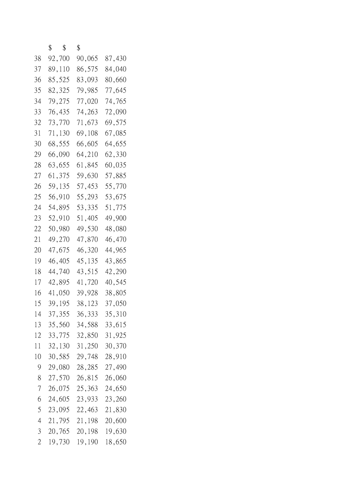|    | \$<br>$\mathcal{S}$ | \$     |        |
|----|---------------------|--------|--------|
| 38 | 92,700              | 90,065 | 87,430 |
| 37 | 89,110              | 86,575 | 84,040 |
| 36 | 85,525              | 83,093 | 80,660 |
| 35 | 82,325              | 79,985 | 77,645 |
| 34 | 79,275              | 77,020 | 74,765 |
| 33 | 76,435              | 74,263 | 72,090 |
| 32 | 73,770              | 71,673 | 69,575 |
| 31 | 71,130              | 69,108 | 67,085 |
| 30 | 68,555              | 66,605 | 64,655 |
| 29 | 66,090              | 64,210 | 62,330 |
| 28 | 63,655              | 61,845 | 60,035 |
| 27 | 61,375              | 59,630 | 57,885 |
| 26 | 59,135              | 57,453 | 55,770 |
| 25 | 56,910              | 55,293 | 53,675 |
| 24 | 54,895              | 53,335 | 51,775 |
| 23 | 52,910              | 51,405 | 49,900 |
| 22 | 50,980              | 49,530 | 48,080 |
| 21 | 49,270              | 47,870 | 46,470 |
| 20 | 47,675              | 46,320 | 44,965 |
| 19 | 46,405              | 45,135 | 43,865 |
| 18 | 44,740              | 43,515 | 42,290 |
| 17 | 42,895              | 41,720 | 40,545 |
| 16 | 41,050              | 39,928 | 38,805 |
| 15 | 39,195              | 38,123 | 37,050 |
| 14 | 37,355              | 36,333 | 35,310 |
| 13 | 35,560              | 34,588 | 33,615 |
| 12 | 33,775              | 32,850 | 31,925 |
| 11 | 32,130              | 31,250 | 30,370 |
| 10 | 30,585              | 29,748 | 28,910 |
| 9  | 29,080              | 28,285 | 27,490 |
| 8  | 27,570              | 26,815 | 26,060 |
| 7  | 26,075              | 25,363 | 24,650 |
| 6  | 24,605              | 23,933 | 23,260 |
| 5  | 23,095              | 22,463 | 21,830 |
| 4  | 21,795              | 21,198 | 20,600 |
| 3  | 20,765              | 20,198 | 19,630 |
| 2  | 19,730              | 19,190 | 18,650 |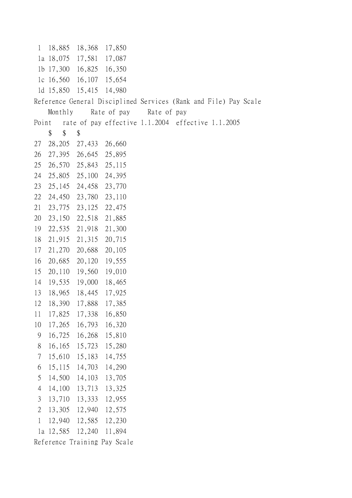1 18,885 18,368 17,850 1a 18,075 17,581 17,087 1b 17,300 16,825 16,350 1c 16,560 16,107 15,654 1d 15,850 15,415 14,980 Reference General Disciplined Services (Rank and File) Pay Scale Monthly Rate of pay Rate of pay Point rate of pay effective 1.1.2004 effective 1.1.2005 \$\$\$ 27 28,205 27,433 26,660 26 27,395 26,645 25,895 25 26,570 25,843 25,115 24 25,805 25,100 24,395 23 25,145 24,458 23,770 22 24,450 23,780 23,110 21 23,775 23,125 22,475 20 23,150 22,518 21,885 19 22,535 21,918 21,300 18 21,915 21,315 20,715 17 21,270 20,688 20,105 16 20,685 20,120 19,555 15 20,110 19,560 19,010 14 19,535 19,000 18,465 13 18,965 18,445 17,925 12 18,390 17,888 17,385 11 17,825 17,338 16,850 10 17,265 16,793 16,320 9 16,725 16,268 15,810 8 16,165 15,723 15,280 7 15,610 15,183 14,755 6 15,115 14,703 14,290 5 14,500 14,103 13,705 4 14,100 13,713 13,325 3 13,710 13,333 12,955 2 13,305 12,940 12,575 1 12,940 12,585 12,230 1a 12,585 12,240 11,894 Reference Training Pay Scale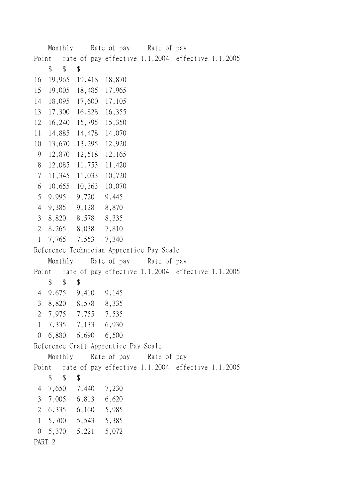Monthly Rate of pay Rate of pay Point rate of pay effective 1.1.2004 effective 1.1.2005 \$\$\$ 16 19,965 19,418 18,870 15 19,005 18,485 17,965 14 18,095 17,600 17,105 13 17,300 16,828 16,355 12 16,240 15,795 15,350 11 14,885 14,478 14,070 10 13,670 13,295 12,920 9 12,870 12,518 12,165 8 12,085 11,753 11,420 7 11,345 11,033 10,720 6 10,655 10,363 10,070 5 9,995 9,720 9,445 4 9,385 9,128 8,870 3 8,820 8,578 8,335 2 8,265 8,038 7,810 1 7,765 7,553 7,340 Reference Technician Apprentice Pay Scale Monthly Rate of pay Rate of pay Point rate of pay effective 1.1.2004 effective 1.1.2005 \$\$\$ 4 9,675 9,410 9,145 3 8,820 8,578 8,335 2 7,975 7,755 7,535 1 7,335 7,133 6,930 0 6,880 6,690 6,500 Reference Craft Apprentice Pay Scale Monthly Rate of pay Rate of pay Point rate of pay effective 1.1.2004 effective 1.1.2005 \$ \$ 4 7,650 7,440 7,230 3 7,005 6,813 6,620 2 6,335 6,160 5,985 1 5,700 5,543 5,385 0 5,370 5,221 5,072 PART 2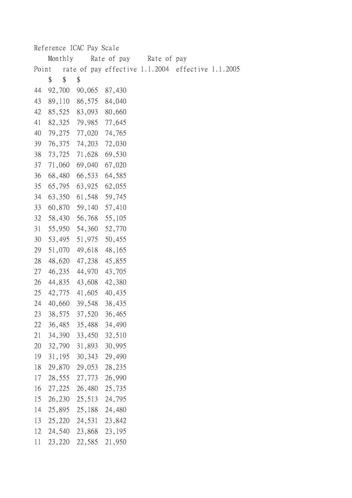|       |        |         |        | Reference ICAC Pay Scale |  |             |                                                   |  |
|-------|--------|---------|--------|--------------------------|--|-------------|---------------------------------------------------|--|
|       |        | Monthly |        | Rate of pay              |  | Rate of pay |                                                   |  |
| Point |        |         |        |                          |  |             | rate of pay effective 1.1.2004 effective 1.1.2005 |  |
|       | \$     | \$      | \$     |                          |  |             |                                                   |  |
| 44    | 92,700 |         | 90,065 | 87,430                   |  |             |                                                   |  |
| 43    | 89,110 |         | 86,575 | 84,040                   |  |             |                                                   |  |
| 42    | 85,525 |         | 83,093 | 80,660                   |  |             |                                                   |  |
| 41    | 82,325 |         | 79,985 | 77,645                   |  |             |                                                   |  |
| 40    | 79,275 |         | 77,020 | 74,765                   |  |             |                                                   |  |
| 39    | 76,375 |         | 74,203 | 72,030                   |  |             |                                                   |  |
| 38    | 73,725 |         | 71,628 | 69,530                   |  |             |                                                   |  |
| 37    | 71,060 |         | 69,040 | 67,020                   |  |             |                                                   |  |
| 36    | 68,480 |         | 66,533 | 64,585                   |  |             |                                                   |  |
| 35    | 65,795 |         | 63,925 | 62,055                   |  |             |                                                   |  |
| 34    | 63,350 |         | 61,548 | 59,745                   |  |             |                                                   |  |
| 33    | 60,870 |         | 59,140 | 57,410                   |  |             |                                                   |  |
| 32    | 58,430 |         | 56,768 | 55,105                   |  |             |                                                   |  |
| 31    | 55,950 |         | 54,360 | 52,770                   |  |             |                                                   |  |
| 30    | 53,495 |         | 51,975 | 50,455                   |  |             |                                                   |  |
| 29    | 51,070 |         | 49,618 | 48,165                   |  |             |                                                   |  |
| 28    | 48,620 |         | 47,238 | 45,855                   |  |             |                                                   |  |
| 27    | 46,235 |         | 44,970 | 43,705                   |  |             |                                                   |  |
| 26    | 44,835 |         | 43,608 | 42,380                   |  |             |                                                   |  |
| 25    | 42,775 |         | 41,605 | 40,435                   |  |             |                                                   |  |
| 24    | 40,660 |         | 39,548 | 38,435                   |  |             |                                                   |  |
| 23    | 38,575 |         | 37,520 | 36,465                   |  |             |                                                   |  |
| 22    | 36,485 |         | 35,488 | 34,490                   |  |             |                                                   |  |
| 21    | 34,390 |         | 33,450 | 32,510                   |  |             |                                                   |  |
| 20    | 32,790 |         | 31,893 | 30,995                   |  |             |                                                   |  |
| 19    | 31,195 |         | 30,343 | 29,490                   |  |             |                                                   |  |
| 18    | 29,870 |         | 29,053 | 28,235                   |  |             |                                                   |  |
| 17    | 28,555 |         | 27,773 | 26,990                   |  |             |                                                   |  |
| 16    | 27,225 |         | 26,480 | 25,735                   |  |             |                                                   |  |
| 15    | 26,230 |         | 25,513 | 24,795                   |  |             |                                                   |  |
| 14    | 25,895 |         | 25,188 | 24,480                   |  |             |                                                   |  |
| 13    | 25,220 |         | 24,531 | 23,842                   |  |             |                                                   |  |
| 12    | 24,540 |         | 23,868 | 23,195                   |  |             |                                                   |  |
| 11    | 23,220 |         | 22,585 | 21,950                   |  |             |                                                   |  |
|       |        |         |        |                          |  |             |                                                   |  |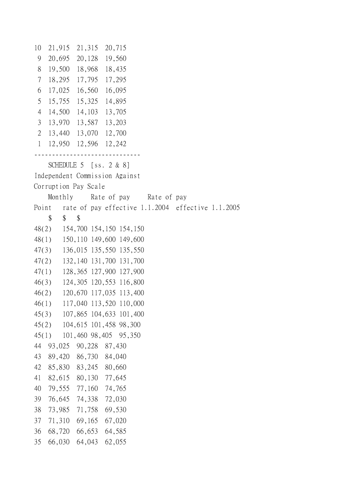10 21,915 21,315 20,715 9 20,695 20,128 19,560 8 19,500 18,968 18,435 7 18,295 17,795 17,295 6 17,025 16,560 16,095 5 15,755 15,325 14,895 4 14,500 14,103 13,705 3 13,970 13,587 13,203 2 13,440 13,070 12,700 1 12,950 12,596 12,242 ------------------------------ SCHEDULE 5 [ss. 2 & 8] Independent Commission Against Corruption Pay Scale Monthly Rate of pay Rate of pay Point rate of pay effective 1.1.2004 effective 1.1.2005 \$ \$ \$ 48(2) 154,700 154,150 154,150 48(1) 150,110 149,600 149,600 47(3) 136,015 135,550 135,550 47(2) 132,140 131,700 131,700 47(1) 128,365 127,900 127,900 46(3) 124,305 120,553 116,800 46(2) 120,670 117,035 113,400 46(1) 117,040 113,520 110,000 45(3) 107,865 104,633 101,400 45(2) 104,615 101,458 98,300 45(1) 101,460 98,405 95,350 44 93,025 90,228 87,430 43 89,420 86,730 84,040 42 85,830 83,245 80,660 41 82,615 80,130 77,645 40 79,555 77,160 74,765 39 76,645 74,338 72,030 38 73,985 71,758 69,530 37 71,310 69,165 67,020 36 68,720 66,653 64,585 35 66,030 64,043 62,055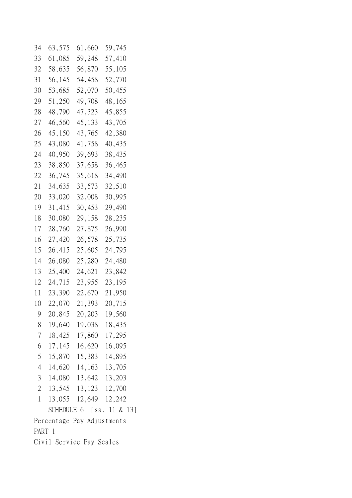| 34                       | 63,575 | 61,660                     | 59,745                   |  |  |  |  |
|--------------------------|--------|----------------------------|--------------------------|--|--|--|--|
| 33                       | 61,085 | 59,248                     | 57,410                   |  |  |  |  |
| 32                       | 58,635 | 56,870                     | 55,105                   |  |  |  |  |
| 31                       | 56,145 | 54,458                     | 52,770                   |  |  |  |  |
| 30                       | 53,685 | 52,070                     | 50,455                   |  |  |  |  |
| 29                       | 51,250 | 49,708                     | 48,165                   |  |  |  |  |
| 28                       | 48,790 | 47,323                     | 45,855                   |  |  |  |  |
| 27                       | 46,560 | 45,133                     | 43,705                   |  |  |  |  |
| 26                       | 45,150 | 43,765                     | 42,380                   |  |  |  |  |
| 25                       | 43,080 | 41,758                     | 40,435                   |  |  |  |  |
| 24                       | 40,950 | 39,693                     | 38,435                   |  |  |  |  |
| 23                       | 38,850 | 37,658                     | 36,465                   |  |  |  |  |
| 22                       | 36,745 | 35,618                     | 34,490                   |  |  |  |  |
| 21                       | 34,635 | 33,573                     | 32,510                   |  |  |  |  |
| 20                       | 33,020 | 32,008                     | 30,995                   |  |  |  |  |
| 19                       | 31,415 | 30,453                     | 29,490                   |  |  |  |  |
| 18                       | 30,080 | 29,158                     | 28,235                   |  |  |  |  |
| 17                       | 28,760 | 27,875                     | 26,990                   |  |  |  |  |
| 16                       | 27,420 | 26,578                     | 25,735                   |  |  |  |  |
| 15                       | 26,415 | 25,605                     | 24,795                   |  |  |  |  |
| 14                       | 26,080 | 25,280                     | 24,480                   |  |  |  |  |
| 13                       | 25,400 | 24,621                     | 23,842                   |  |  |  |  |
| 12                       | 24,715 | 23,955                     | 23,195                   |  |  |  |  |
| 11                       | 23,390 | 22,670                     | 21,950                   |  |  |  |  |
| 10                       | 22,070 | 21,393                     | 20,715                   |  |  |  |  |
| 9                        |        | 20,845 20,203 19,560       |                          |  |  |  |  |
|                          |        | 8 19,640 19,038 18,435     |                          |  |  |  |  |
|                          |        | 7 18,425 17,860 17,295     |                          |  |  |  |  |
|                          |        | 6 17,145 16,620 16,095     |                          |  |  |  |  |
|                          |        | 5 15,870 15,383 14,895     |                          |  |  |  |  |
|                          |        | 4 14,620 14,163 13,705     |                          |  |  |  |  |
|                          |        | 3 14,080 13,642 13,203     |                          |  |  |  |  |
|                          |        | 2 13,545 13,123 12,700     |                          |  |  |  |  |
|                          |        | 1 13,055 12,649 12,242     |                          |  |  |  |  |
|                          |        |                            | SCHEDULE 6 [ss. 11 & 13] |  |  |  |  |
|                          |        | Percentage Pay Adjustments |                          |  |  |  |  |
| PART 1                   |        |                            |                          |  |  |  |  |
| Civil Service Pay Scales |        |                            |                          |  |  |  |  |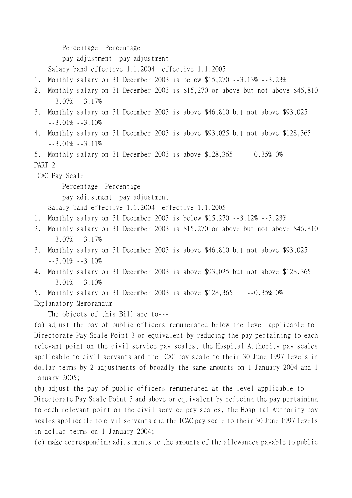Percentage Percentage

pay adjustment pay adjustment

Salary band effective 1.1.2004 effective 1.1.2005

- 1. Monthly salary on 31 December 2003 is below \$15,270 --3.13% --3.23%
- 2. Monthly salary on 31 December 2003 is \$15,270 or above but not above \$46,810  $-3.07\% -3.17\%$
- 3. Monthly salary on 31 December 2003 is above \$46,810 but not above \$93,025  $-3.01\% -3.10\%$
- 4. Monthly salary on 31 December 2003 is above \$93,025 but not above \$128,365  $-3.01\% -3.11\%$

5. Monthly salary on 31 December 2003 is above \$128,365 --0.35% 0% PART 2

ICAC Pay Scale

Percentage Percentage

pay adjustment pay adjustment

Salary band effective 1.1.2004 effective 1.1.2005

- 1. Monthly salary on 31 December 2003 is below \$15,270 --3.12% --3.23%
- 2. Monthly salary on 31 December 2003 is \$15,270 or above but not above \$46,810 --3.07% --3.17%
- 3. Monthly salary on 31 December 2003 is above \$46,810 but not above \$93,025  $-3.01\% -3.10\%$
- 4. Monthly salary on 31 December 2003 is above \$93,025 but not above \$128,365  $-3.01\% -3.10\%$

5. Monthly salary on 31 December 2003 is above \$128,365 --0.35% 0%

Explanatory Memorandum

The objects of this Bill are to---

(a) adjust the pay of public officers remunerated below the level applicable to Directorate Pay Scale Point 3 or equivalent by reducing the pay pertaining to each relevant point on the civil service pay scales, the Hospital Authority pay scales applicable to civil servants and the ICAC pay scale to their 30 June 1997 levels in dollar terms by 2 adjustments of broadly the same amounts on 1 January 2004 and 1 January 2005;

(b) adjust the pay of public officers remunerated at the level applicable to Directorate Pay Scale Point 3 and above or equivalent by reducing the pay pertaining to each relevant point on the civil service pay scales, the Hospital Authority pay scales applicable to civil servants and the ICAC pay scale to their 30 June 1997 levels in dollar terms on 1 January 2004;

(c) make corresponding adjustments to the amounts of the allowances payable to public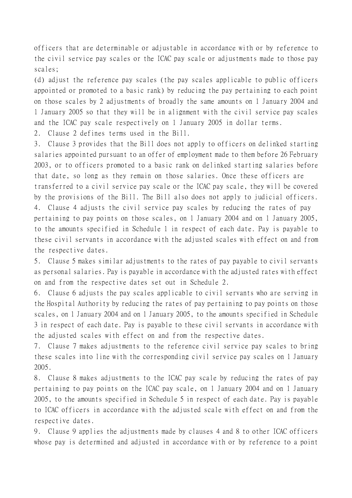officers that are determinable or adjustable in accordance with or by reference to the civil service pay scales or the ICAC pay scale or adjustments made to those pay scales;

(d) adjust the reference pay scales (the pay scales applicable to public officers appointed or promoted to a basic rank) by reducing the pay pertaining to each point on those scales by 2 adjustments of broadly the same amounts on 1 January 2004 and 1 January 2005 so that they will be in alignment with the civil service pay scales and the ICAC pay scale respectively on 1 January 2005 in dollar terms.

2. Clause 2 defines terms used in the Bill.

3. Clause 3 provides that the Bill does not apply to officers on delinked starting salaries appointed pursuant to an offer of employment made to them before 26 February 2003, or to officers promoted to a basic rank on delinked starting salaries before that date, so long as they remain on those salaries. Once these officers are transferred to a civil service pay scale or the ICAC pay scale, they will be covered by the provisions of the Bill. The Bill also does not apply to judicial officers. 4. Clause 4 adjusts the civil service pay scales by reducing the rates of pay pertaining to pay points on those scales, on 1 January 2004 and on 1 January 2005, to the amounts specified in Schedule 1 in respect of each date. Pay is payable to these civil servants in accordance with the adjusted scales with effect on and from the respective dates.

5. Clause 5 makes similar adjustments to the rates of pay payable to civil servants as personal salaries. Pay is payable in accordance with the adjusted rates with effect on and from the respective dates set out in Schedule 2.

6. Clause 6 adjusts the pay scales applicable to civil servants who are serving in the Hospital Authority by reducing the rates of pay pertaining to pay points on those scales, on 1 January 2004 and on 1 January 2005, to the amounts specified in Schedule 3 in respect of each date. Pay is payable to these civil servants in accordance with the adjusted scales with effect on and from the respective dates.

7. Clause 7 makes adjustments to the reference civil service pay scales to bring these scales into line with the corresponding civil service pay scales on 1 January 2005.

8. Clause 8 makes adjustments to the ICAC pay scale by reducing the rates of pay pertaining to pay points on the ICAC pay scale, on 1 January 2004 and on 1 January 2005, to the amounts specified in Schedule 5 in respect of each date. Pay is payable to ICAC officers in accordance with the adjusted scale with effect on and from the respective dates.

9. Clause 9 applies the adjustments made by clauses 4 and 8 to other ICAC officers whose pay is determined and adjusted in accordance with or by reference to a point